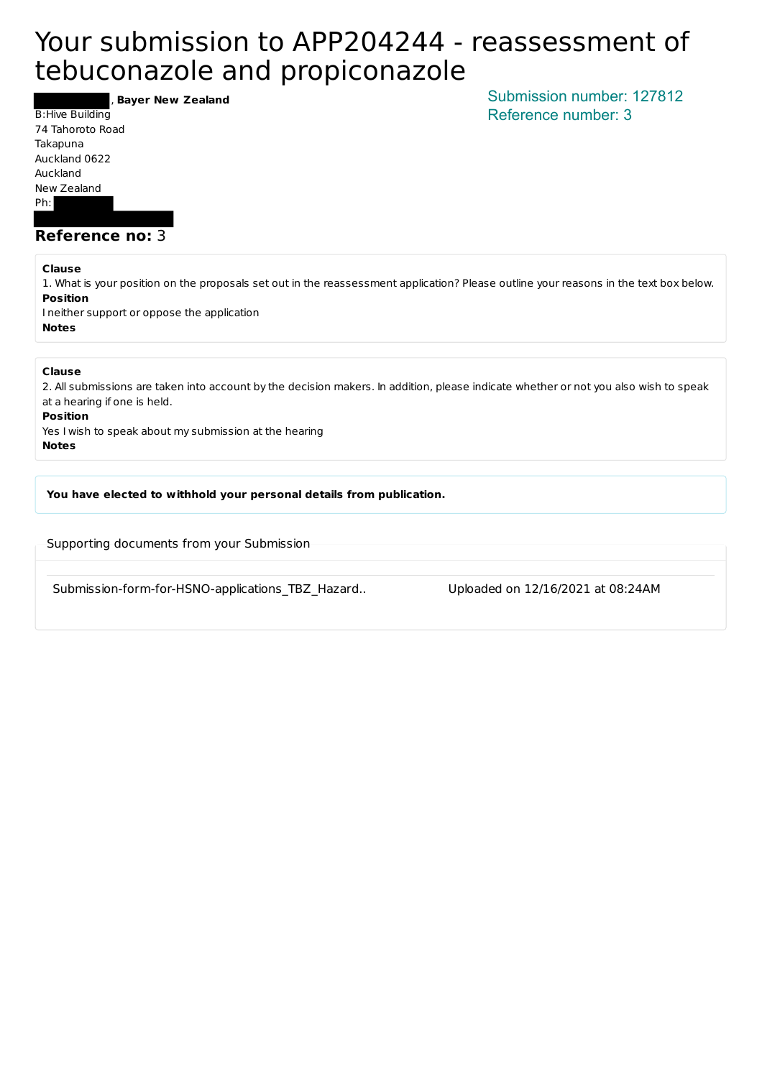# Your submission to APP204244 - reassessment of tebuconazole and propiconazole

, **Bayer New Zealand**

B: Hive Building 74 Tahoroto Road Takapuna Auckland 0622 Auckland New Zealand Ph: 

**Reference no: 3** 

#### **Clause**

1. What is your position on the proposals set out in the reassessment application? Please outline your reasons in the text box below. **Position**

I neither support or oppose the application **Notes**

#### **Clause**

2. All submissions are taken into account by the decision makers. In addition, please indicate whether or not you also wish to speak at a hearing if one is held.

#### **Position**

Yes I wish to speak about my submission at the hearing **Notes**

You have elected to withhold your personal details from publication.

Supporting documents from your Submission

Submission-form-for-HSNO-applications TBZ Hazard.. Uploaded on 12/16/2021 at 08:24AM

Submission number: 127812 Reference number: 3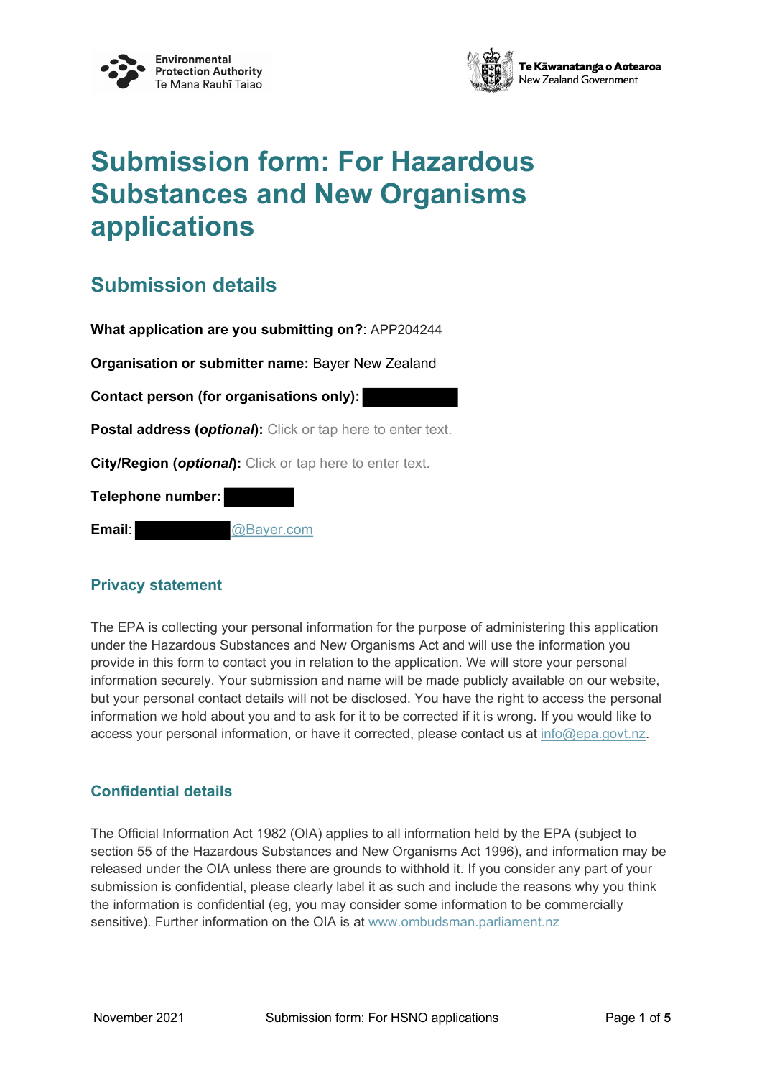



# **Submission form: For Hazardous Substances and New Organisms applications**

# **Submission details**

**What application are you submitting on?**: APP204244 **Organisation or submitter name:** Bayer New Zealand **Contact person (for organisations only): Postal address (***optional***):** Click or tap here to enter text. **City/Region (***optional***):** Click or tap here to enter text. **Telephone number: Email**: @Bayer.com

### **Privacy statement**

The EPA is collecting your personal information for the purpose of administering this application under the Hazardous Substances and New Organisms Act and will use the information you provide in this form to contact you in relation to the application. We will store your personal information securely. Your submission and name will be made publicly available on our website, but your personal contact details will not be disclosed. You have the right to access the personal information we hold about you and to ask for it to be corrected if it is wrong. If you would like to access your personal information, or have it corrected, please contact us at [info@epa.govt.nz.](mailto:info@epa.govt.nz)

### **Confidential details**

The Official Information Act 1982 (OIA) applies to all information held by the EPA (subject to section 55 of the Hazardous Substances and New Organisms Act 1996), and information may be released under the OIA unless there are grounds to withhold it. If you consider any part of your submission is confidential, please clearly label it as such and include the reasons why you think the information is confidential (eg, you may consider some information to be commercially sensitive). Further information on the OIA is at [www.ombudsman.parliament.nz](http://www.ombudsman.parliament.nz/)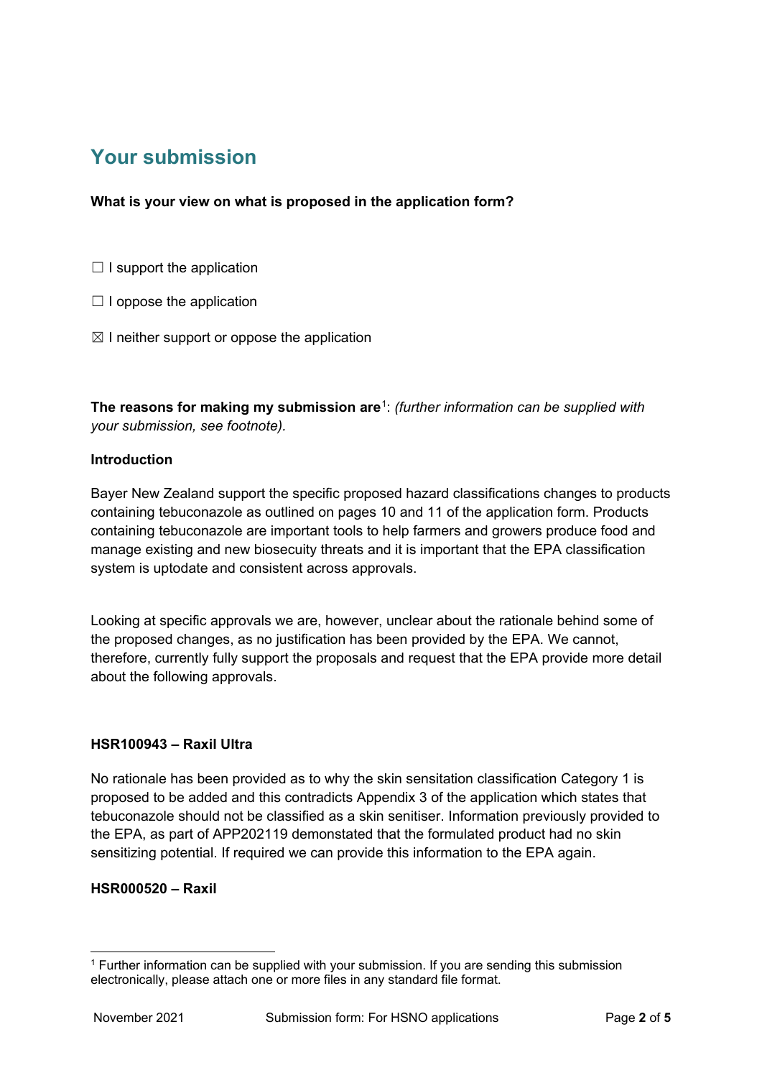# **Your submission**

### **What is your view on what is proposed in the application form?**

- $\Box$  I support the application
- $\Box$  I oppose the application
- $\boxtimes$  I neither support or oppose the application

**The reasons for making my submission are**[1](#page-2-0): *(further information can be supplied with your submission, see footnote).*

### **Introduction**

Bayer New Zealand support the specific proposed hazard classifications changes to products containing tebuconazole as outlined on pages 10 and 11 of the application form. Products containing tebuconazole are important tools to help farmers and growers produce food and manage existing and new biosecuity threats and it is important that the EPA classification system is uptodate and consistent across approvals.

Looking at specific approvals we are, however, unclear about the rationale behind some of the proposed changes, as no justification has been provided by the EPA. We cannot, therefore, currently fully support the proposals and request that the EPA provide more detail about the following approvals.

### **HSR100943 – Raxil Ultra**

No rationale has been provided as to why the skin sensitation classification Category 1 is proposed to be added and this contradicts Appendix 3 of the application which states that tebuconazole should not be classified as a skin senitiser. Information previously provided to the EPA, as part of APP202119 demonstated that the formulated product had no skin sensitizing potential. If required we can provide this information to the EPA again.

### **HSR000520 – Raxil**

<span id="page-2-0"></span><sup>1</sup> Further information can be supplied with your submission. If you are sending this submission electronically, please attach one or more files in any standard file format.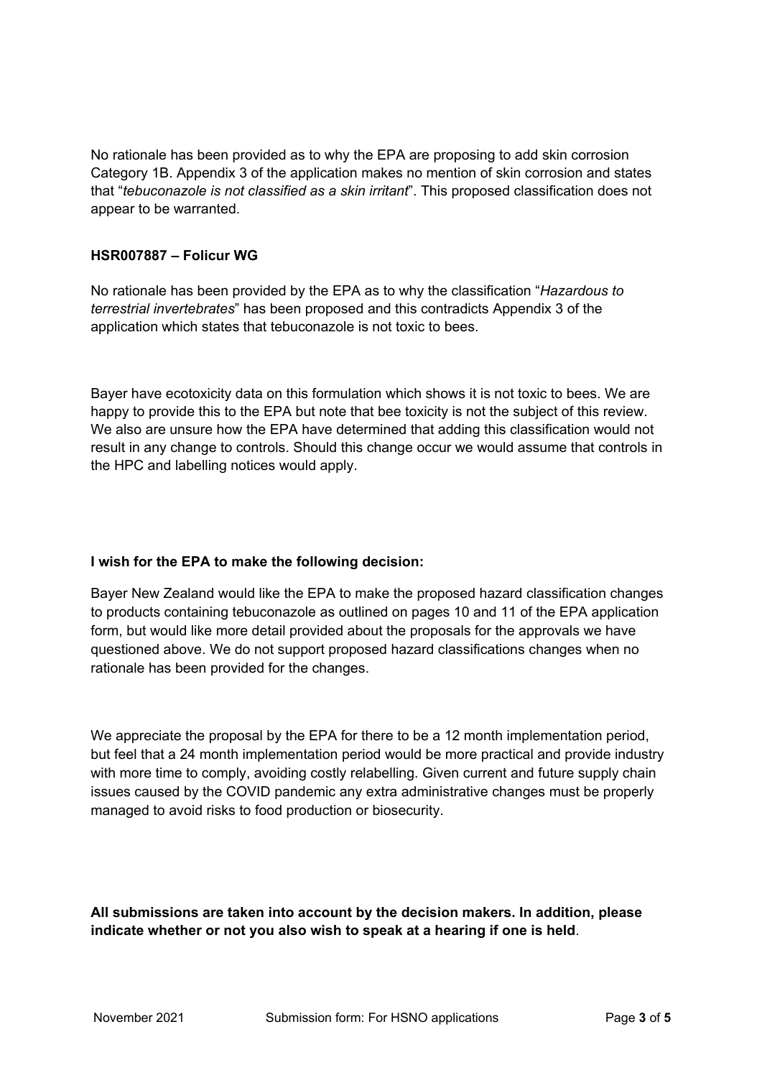No rationale has been provided as to why the EPA are proposing to add skin corrosion Category 1B. Appendix 3 of the application makes no mention of skin corrosion and states that "*tebuconazole is not classified as a skin irritant*". This proposed classification does not appear to be warranted.

### **HSR007887 – Folicur WG**

No rationale has been provided by the EPA as to why the classification "*Hazardous to terrestrial invertebrates*" has been proposed and this contradicts Appendix 3 of the application which states that tebuconazole is not toxic to bees.

Bayer have ecotoxicity data on this formulation which shows it is not toxic to bees. We are happy to provide this to the EPA but note that bee toxicity is not the subject of this review. We also are unsure how the EPA have determined that adding this classification would not result in any change to controls. Should this change occur we would assume that controls in the HPC and labelling notices would apply.

### **I wish for the EPA to make the following decision:**

Bayer New Zealand would like the EPA to make the proposed hazard classification changes to products containing tebuconazole as outlined on pages 10 and 11 of the EPA application form, but would like more detail provided about the proposals for the approvals we have questioned above. We do not support proposed hazard classifications changes when no rationale has been provided for the changes.

We appreciate the proposal by the EPA for there to be a 12 month implementation period, but feel that a 24 month implementation period would be more practical and provide industry with more time to comply, avoiding costly relabelling. Given current and future supply chain issues caused by the COVID pandemic any extra administrative changes must be properly managed to avoid risks to food production or biosecurity.

**All submissions are taken into account by the decision makers. In addition, please indicate whether or not you also wish to speak at a hearing if one is held**.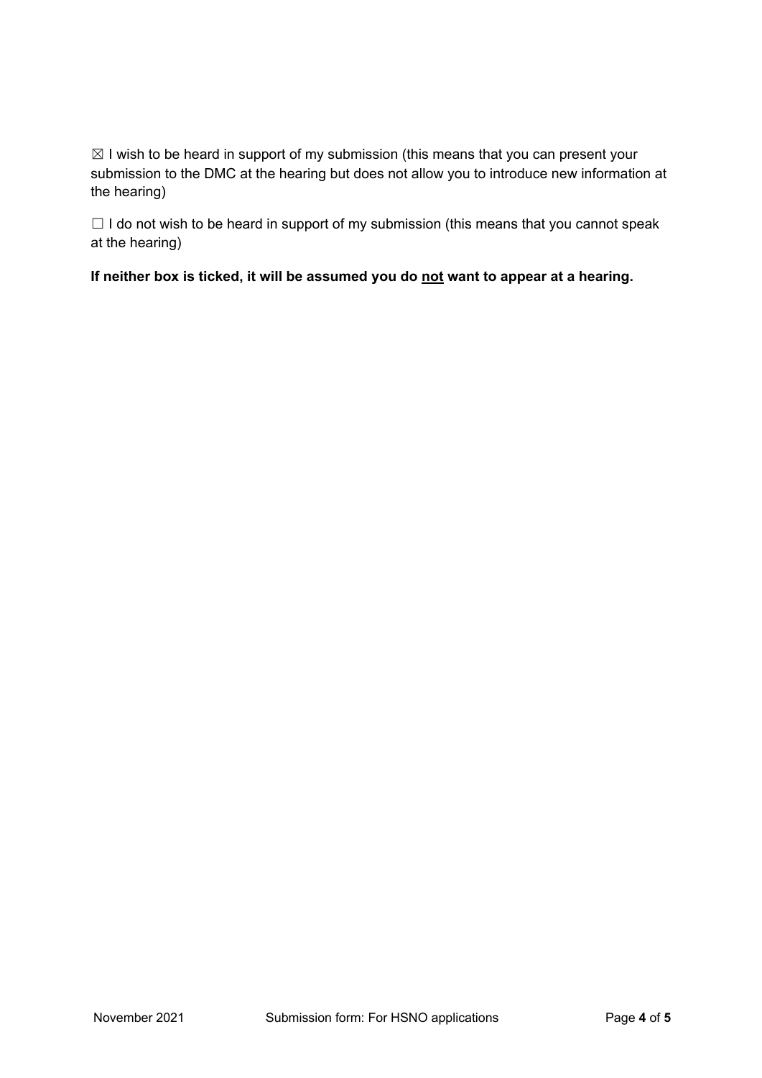$\boxtimes$  I wish to be heard in support of my submission (this means that you can present your submission to the DMC at the hearing but does not allow you to introduce new information at the hearing)

 $\Box$  I do not wish to be heard in support of my submission (this means that you cannot speak at the hearing)

**If neither box is ticked, it will be assumed you do not want to appear at a hearing.**